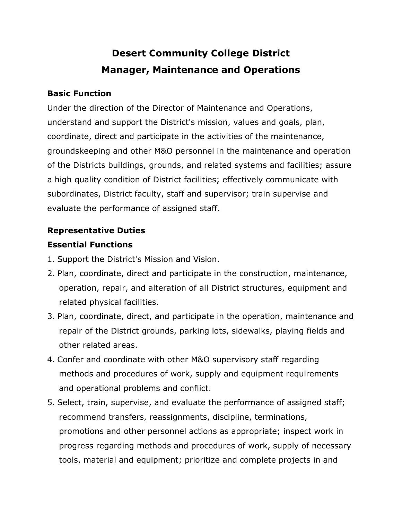# **Desert Community College District Manager, Maintenance and Operations**

## **Basic Function**

Under the direction of the Director of Maintenance and Operations, understand and support the District's mission, values and goals, plan, coordinate, direct and participate in the activities of the maintenance, groundskeeping and other M&O personnel in the maintenance and operation of the Districts buildings, grounds, and related systems and facilities; assure a high quality condition of District facilities; effectively communicate with subordinates, District faculty, staff and supervisor; train supervise and evaluate the performance of assigned staff.

# **Representative Duties**

# **Essential Functions**

- 1. Support the District's Mission and Vision.
- 2. Plan, coordinate, direct and participate in the construction, maintenance, operation, repair, and alteration of all District structures, equipment and related physical facilities.
- 3. Plan, coordinate, direct, and participate in the operation, maintenance and repair of the District grounds, parking lots, sidewalks, playing fields and other related areas.
- 4. Confer and coordinate with other M&O supervisory staff regarding methods and procedures of work, supply and equipment requirements and operational problems and conflict.
- 5. Select, train, supervise, and evaluate the performance of assigned staff; recommend transfers, reassignments, discipline, terminations, promotions and other personnel actions as appropriate; inspect work in progress regarding methods and procedures of work, supply of necessary tools, material and equipment; prioritize and complete projects in and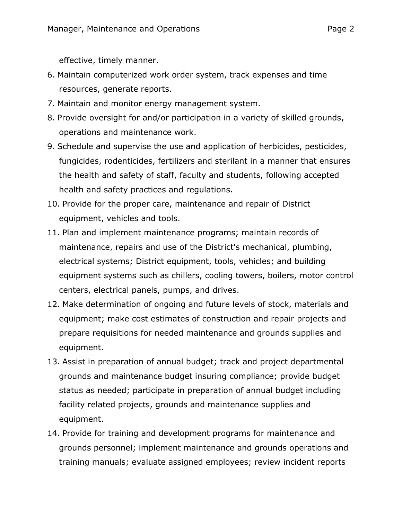effective, timely manner.

- 6. Maintain computerized work order system, track expenses and time resources, generate reports.
- 7. Maintain and monitor energy management system.
- 8. Provide oversight for and/or participation in a variety of skilled grounds, operations and maintenance work.
- 9. Schedule and supervise the use and application of herbicides, pesticides, fungicides, rodenticides, fertilizers and sterilant in a manner that ensures the health and safety of staff, faculty and students, following accepted health and safety practices and regulations.
- 10. Provide for the proper care, maintenance and repair of District equipment, vehicles and tools.
- 11. Plan and implement maintenance programs; maintain records of maintenance, repairs and use of the District's mechanical, plumbing, electrical systems; District equipment, tools, vehicles; and building equipment systems such as chillers, cooling towers, boilers, motor control centers, electrical panels, pumps, and drives.
- 12. Make determination of ongoing and future levels of stock, materials and equipment; make cost estimates of construction and repair projects and prepare requisitions for needed maintenance and grounds supplies and equipment.
- 13. Assist in preparation of annual budget; track and project departmental grounds and maintenance budget insuring compliance; provide budget status as needed; participate in preparation of annual budget including facility related projects, grounds and maintenance supplies and equipment.
- 14. Provide for training and development programs for maintenance and grounds personnel; implement maintenance and grounds operations and training manuals; evaluate assigned employees; review incident reports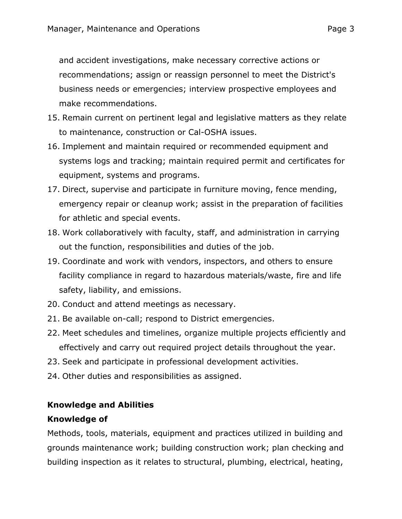and accident investigations, make necessary corrective actions or recommendations; assign or reassign personnel to meet the District's business needs or emergencies; interview prospective employees and make recommendations.

- 15. Remain current on pertinent legal and legislative matters as they relate to maintenance, construction or Cal-OSHA issues.
- 16. Implement and maintain required or recommended equipment and systems logs and tracking; maintain required permit and certificates for equipment, systems and programs.
- 17. Direct, supervise and participate in furniture moving, fence mending, emergency repair or cleanup work; assist in the preparation of facilities for athletic and special events.
- 18. Work collaboratively with faculty, staff, and administration in carrying out the function, responsibilities and duties of the job.
- 19. Coordinate and work with vendors, inspectors, and others to ensure facility compliance in regard to hazardous materials/waste, fire and life safety, liability, and emissions.
- 20. Conduct and attend meetings as necessary.
- 21. Be available on-call; respond to District emergencies.
- 22. Meet schedules and timelines, organize multiple projects efficiently and effectively and carry out required project details throughout the year.
- 23. Seek and participate in professional development activities.
- 24. Other duties and responsibilities as assigned.

# **Knowledge and Abilities**

## **Knowledge of**

Methods, tools, materials, equipment and practices utilized in building and grounds maintenance work; building construction work; plan checking and building inspection as it relates to structural, plumbing, electrical, heating,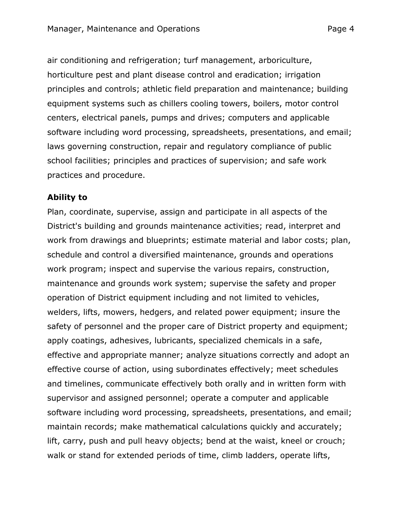air conditioning and refrigeration; turf management, arboriculture, horticulture pest and plant disease control and eradication; irrigation principles and controls; athletic field preparation and maintenance; building equipment systems such as chillers cooling towers, boilers, motor control centers, electrical panels, pumps and drives; computers and applicable software including word processing, spreadsheets, presentations, and email; laws governing construction, repair and regulatory compliance of public school facilities; principles and practices of supervision; and safe work practices and procedure.

#### **Ability to**

Plan, coordinate, supervise, assign and participate in all aspects of the District's building and grounds maintenance activities; read, interpret and work from drawings and blueprints; estimate material and labor costs; plan, schedule and control a diversified maintenance, grounds and operations work program; inspect and supervise the various repairs, construction, maintenance and grounds work system; supervise the safety and proper operation of District equipment including and not limited to vehicles, welders, lifts, mowers, hedgers, and related power equipment; insure the safety of personnel and the proper care of District property and equipment; apply coatings, adhesives, lubricants, specialized chemicals in a safe, effective and appropriate manner; analyze situations correctly and adopt an effective course of action, using subordinates effectively; meet schedules and timelines, communicate effectively both orally and in written form with supervisor and assigned personnel; operate a computer and applicable software including word processing, spreadsheets, presentations, and email; maintain records; make mathematical calculations quickly and accurately; lift, carry, push and pull heavy objects; bend at the waist, kneel or crouch; walk or stand for extended periods of time, climb ladders, operate lifts,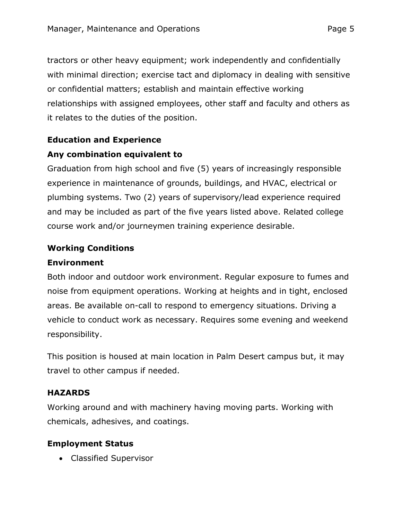tractors or other heavy equipment; work independently and confidentially with minimal direction; exercise tact and diplomacy in dealing with sensitive or confidential matters; establish and maintain effective working relationships with assigned employees, other staff and faculty and others as it relates to the duties of the position.

# **Education and Experience**

# **Any combination equivalent to**

Graduation from high school and five (5) years of increasingly responsible experience in maintenance of grounds, buildings, and HVAC, electrical or plumbing systems. Two (2) years of supervisory/lead experience required and may be included as part of the five years listed above. Related college course work and/or journeymen training experience desirable.

# **Working Conditions**

## **Environment**

Both indoor and outdoor work environment. Regular exposure to fumes and noise from equipment operations. Working at heights and in tight, enclosed areas. Be available on-call to respond to emergency situations. Driving a vehicle to conduct work as necessary. Requires some evening and weekend responsibility.

This position is housed at main location in Palm Desert campus but, it may travel to other campus if needed.

## **HAZARDS**

Working around and with machinery having moving parts. Working with chemicals, adhesives, and coatings.

## **Employment Status**

• Classified Supervisor